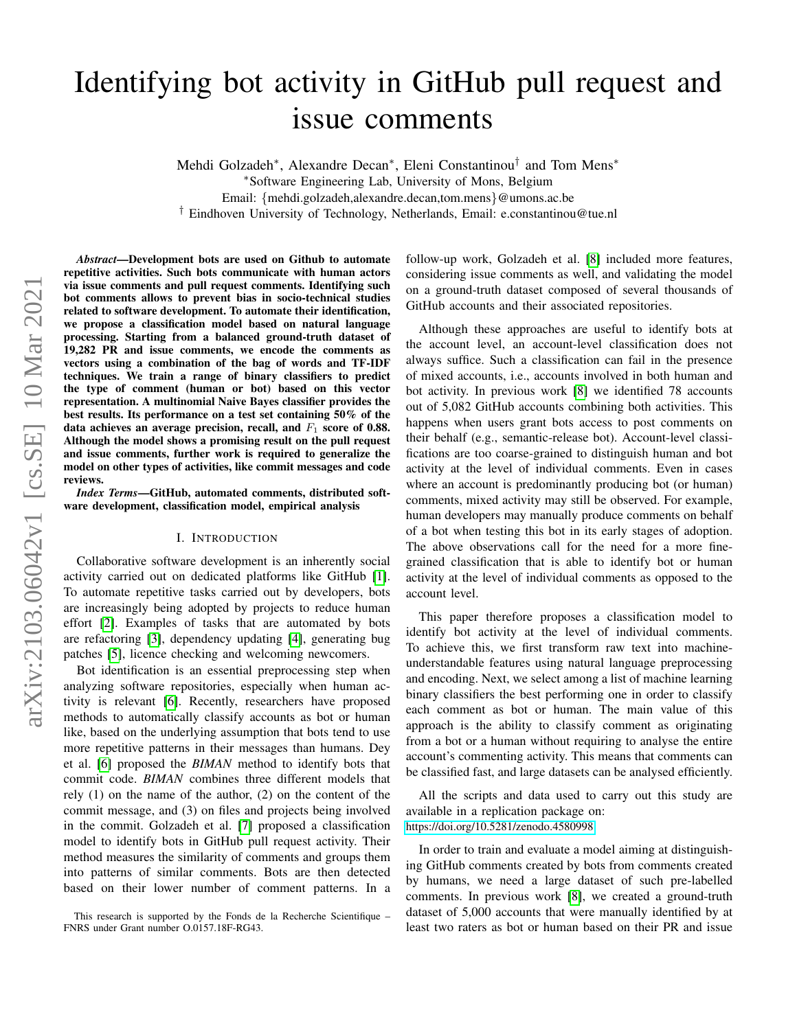# Identifying bot activity in GitHub pull request and issue comments

Mehdi Golzadeh<sup>∗</sup>, Alexandre Decan<sup>∗</sup>, Eleni Constantinou<sup>†</sup> and Tom Mens<sup>∗</sup>

<sup>∗</sup>Software Engineering Lab, University of Mons, Belgium

Email: {mehdi.golzadeh,alexandre.decan,tom.mens}@umons.ac.be

† Eindhoven University of Technology, Netherlands, Email: e.constantinou@tue.nl

*Abstract*—Development bots are used on Github to automate repetitive activities. Such bots communicate with human actors via issue comments and pull request comments. Identifying such bot comments allows to prevent bias in socio-technical studies related to software development. To automate their identification, we propose a classification model based on natural language processing. Starting from a balanced ground-truth dataset of 19,282 PR and issue comments, we encode the comments as vectors using a combination of the bag of words and TF-IDF techniques. We train a range of binary classifiers to predict the type of comment (human or bot) based on this vector representation. A multinomial Naive Bayes classifier provides the best results. Its performance on a test set containing 50% of the data achieves an average precision, recall, and  $F_1$  score of 0.88. Although the model shows a promising result on the pull request and issue comments, further work is required to generalize the model on other types of activities, like commit messages and code reviews.

*Index Terms*—GitHub, automated comments, distributed software development, classification model, empirical analysis

#### I. INTRODUCTION

<span id="page-0-0"></span>Collaborative software development is an inherently social activity carried out on dedicated platforms like GitHub [\[1\]](#page-4-0). To automate repetitive tasks carried out by developers, bots are increasingly being adopted by projects to reduce human effort [\[2\]](#page-4-1). Examples of tasks that are automated by bots are refactoring [\[3\]](#page-4-2), dependency updating [\[4\]](#page-4-3), generating bug patches [\[5\]](#page-4-4), licence checking and welcoming newcomers.

Bot identification is an essential preprocessing step when analyzing software repositories, especially when human activity is relevant [\[6\]](#page-4-5). Recently, researchers have proposed methods to automatically classify accounts as bot or human like, based on the underlying assumption that bots tend to use more repetitive patterns in their messages than humans. Dey et al. [\[6\]](#page-4-5) proposed the *BIMAN* method to identify bots that commit code. *BIMAN* combines three different models that rely (1) on the name of the author, (2) on the content of the commit message, and (3) on files and projects being involved in the commit. Golzadeh et al. [\[7\]](#page-4-6) proposed a classification model to identify bots in GitHub pull request activity. Their method measures the similarity of comments and groups them into patterns of similar comments. Bots are then detected based on their lower number of comment patterns. In a follow-up work, Golzadeh et al. [\[8\]](#page-4-7) included more features, considering issue comments as well, and validating the model on a ground-truth dataset composed of several thousands of GitHub accounts and their associated repositories.

Although these approaches are useful to identify bots at the account level, an account-level classification does not always suffice. Such a classification can fail in the presence of mixed accounts, i.e., accounts involved in both human and bot activity. In previous work [\[8\]](#page-4-7) we identified 78 accounts out of 5,082 GitHub accounts combining both activities. This happens when users grant bots access to post comments on their behalf (e.g., semantic-release bot). Account-level classifications are too coarse-grained to distinguish human and bot activity at the level of individual comments. Even in cases where an account is predominantly producing bot (or human) comments, mixed activity may still be observed. For example, human developers may manually produce comments on behalf of a bot when testing this bot in its early stages of adoption. The above observations call for the need for a more finegrained classification that is able to identify bot or human activity at the level of individual comments as opposed to the account level.

This paper therefore proposes a classification model to identify bot activity at the level of individual comments. To achieve this, we first transform raw text into machineunderstandable features using natural language preprocessing and encoding. Next, we select among a list of machine learning binary classifiers the best performing one in order to classify each comment as bot or human. The main value of this approach is the ability to classify comment as originating from a bot or a human without requiring to analyse the entire account's commenting activity. This means that comments can be classified fast, and large datasets can be analysed efficiently.

All the scripts and data used to carry out this study are available in a replication package on:

<https://doi.org/10.5281/zenodo.4580998>

In order to train and evaluate a model aiming at distinguishing GitHub comments created by bots from comments created by humans, we need a large dataset of such pre-labelled comments. In previous work [\[8\]](#page-4-7), we created a ground-truth dataset of 5,000 accounts that were manually identified by at least two raters as bot or human based on their PR and issue

This research is supported by the Fonds de la Recherche Scientifique – FNRS under Grant number O.0157.18F-RG43.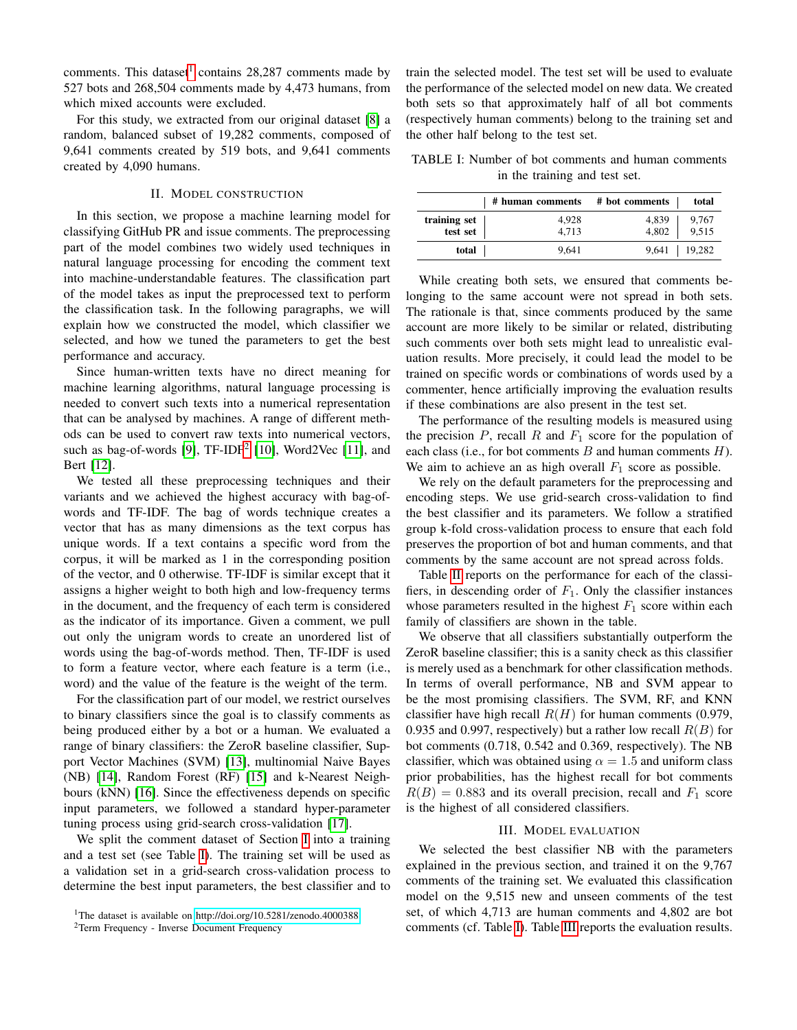comments. This dataset<sup>[1](#page-1-0)</sup> contains  $28,287$  comments made by 527 bots and 268,504 comments made by 4,473 humans, from which mixed accounts were excluded.

For this study, we extracted from our original dataset [\[8\]](#page-4-7) a random, balanced subset of 19,282 comments, composed of 9,641 comments created by 519 bots, and 9,641 comments created by 4,090 humans.

# II. MODEL CONSTRUCTION

In this section, we propose a machine learning model for classifying GitHub PR and issue comments. The preprocessing part of the model combines two widely used techniques in natural language processing for encoding the comment text into machine-understandable features. The classification part of the model takes as input the preprocessed text to perform the classification task. In the following paragraphs, we will explain how we constructed the model, which classifier we selected, and how we tuned the parameters to get the best performance and accuracy.

Since human-written texts have no direct meaning for machine learning algorithms, natural language processing is needed to convert such texts into a numerical representation that can be analysed by machines. A range of different methods can be used to convert raw texts into numerical vectors, such as bag-of-words [\[9\]](#page-4-8),  $TF-IDF<sup>2</sup>$  $TF-IDF<sup>2</sup>$  $TF-IDF<sup>2</sup>$  [\[10\]](#page-4-9), Word2Vec [\[11\]](#page-4-10), and Bert [\[12\]](#page-4-11).

We tested all these preprocessing techniques and their variants and we achieved the highest accuracy with bag-ofwords and TF-IDF. The bag of words technique creates a vector that has as many dimensions as the text corpus has unique words. If a text contains a specific word from the corpus, it will be marked as 1 in the corresponding position of the vector, and 0 otherwise. TF-IDF is similar except that it assigns a higher weight to both high and low-frequency terms in the document, and the frequency of each term is considered as the indicator of its importance. Given a comment, we pull out only the unigram words to create an unordered list of words using the bag-of-words method. Then, TF-IDF is used to form a feature vector, where each feature is a term (i.e., word) and the value of the feature is the weight of the term.

For the classification part of our model, we restrict ourselves to binary classifiers since the goal is to classify comments as being produced either by a bot or a human. We evaluated a range of binary classifiers: the ZeroR baseline classifier, Support Vector Machines (SVM) [\[13\]](#page-4-12), multinomial Naive Bayes (NB) [\[14\]](#page-4-13), Random Forest (RF) [\[15\]](#page-4-14) and k-Nearest Neighbours (kNN) [\[16\]](#page-4-15). Since the effectiveness depends on specific input parameters, we followed a standard hyper-parameter tuning process using grid-search cross-validation [\[17\]](#page-4-16).

We split the comment dataset of Section [I](#page-0-0) into a training and a test set (see Table [I\)](#page-1-2). The training set will be used as a validation set in a grid-search cross-validation process to determine the best input parameters, the best classifier and to

train the selected model. The test set will be used to evaluate the performance of the selected model on new data. We created both sets so that approximately half of all bot comments (respectively human comments) belong to the training set and the other half belong to the test set.

<span id="page-1-2"></span>TABLE I: Number of bot comments and human comments in the training and test set.

|                          | # human comments # bot comments |                | total            |
|--------------------------|---------------------------------|----------------|------------------|
| training set<br>test set | 4,928<br>4,713                  | 4,839<br>4,802 | 9,767<br>9,515   |
| total                    | 9.641                           |                | $9,641$   19,282 |

While creating both sets, we ensured that comments belonging to the same account were not spread in both sets. The rationale is that, since comments produced by the same account are more likely to be similar or related, distributing such comments over both sets might lead to unrealistic evaluation results. More precisely, it could lead the model to be trained on specific words or combinations of words used by a commenter, hence artificially improving the evaluation results if these combinations are also present in the test set.

The performance of the resulting models is measured using the precision  $P$ , recall  $R$  and  $F_1$  score for the population of each class (i.e., for bot comments  $B$  and human comments  $H$ ). We aim to achieve an as high overall  $F_1$  score as possible.

We rely on the default parameters for the preprocessing and encoding steps. We use grid-search cross-validation to find the best classifier and its parameters. We follow a stratified group k-fold cross-validation process to ensure that each fold preserves the proportion of bot and human comments, and that comments by the same account are not spread across folds.

Table [II](#page-2-0) reports on the performance for each of the classifiers, in descending order of  $F_1$ . Only the classifier instances whose parameters resulted in the highest  $F_1$  score within each family of classifiers are shown in the table.

We observe that all classifiers substantially outperform the ZeroR baseline classifier; this is a sanity check as this classifier is merely used as a benchmark for other classification methods. In terms of overall performance, NB and SVM appear to be the most promising classifiers. The SVM, RF, and KNN classifier have high recall  $R(H)$  for human comments (0.979, 0.935 and 0.997, respectively) but a rather low recall  $R(B)$  for bot comments (0.718, 0.542 and 0.369, respectively). The NB classifier, which was obtained using  $\alpha = 1.5$  and uniform class prior probabilities, has the highest recall for bot comments  $R(B) = 0.883$  and its overall precision, recall and  $F_1$  score is the highest of all considered classifiers.

## III. MODEL EVALUATION

We selected the best classifier NB with the parameters explained in the previous section, and trained it on the 9,767 comments of the training set. We evaluated this classification model on the 9,515 new and unseen comments of the test set, of which 4,713 are human comments and 4,802 are bot comments (cf. Table [I\)](#page-1-2). Table [III](#page-2-1) reports the evaluation results.

<span id="page-1-0"></span><sup>&</sup>lt;sup>1</sup>The dataset is available on [http://doi.org/10.5281/zenodo.4000388.](http://doi.org/10.5281/zenodo.4000388)

<span id="page-1-1"></span><sup>&</sup>lt;sup>2</sup>Term Frequency - Inverse Document Frequency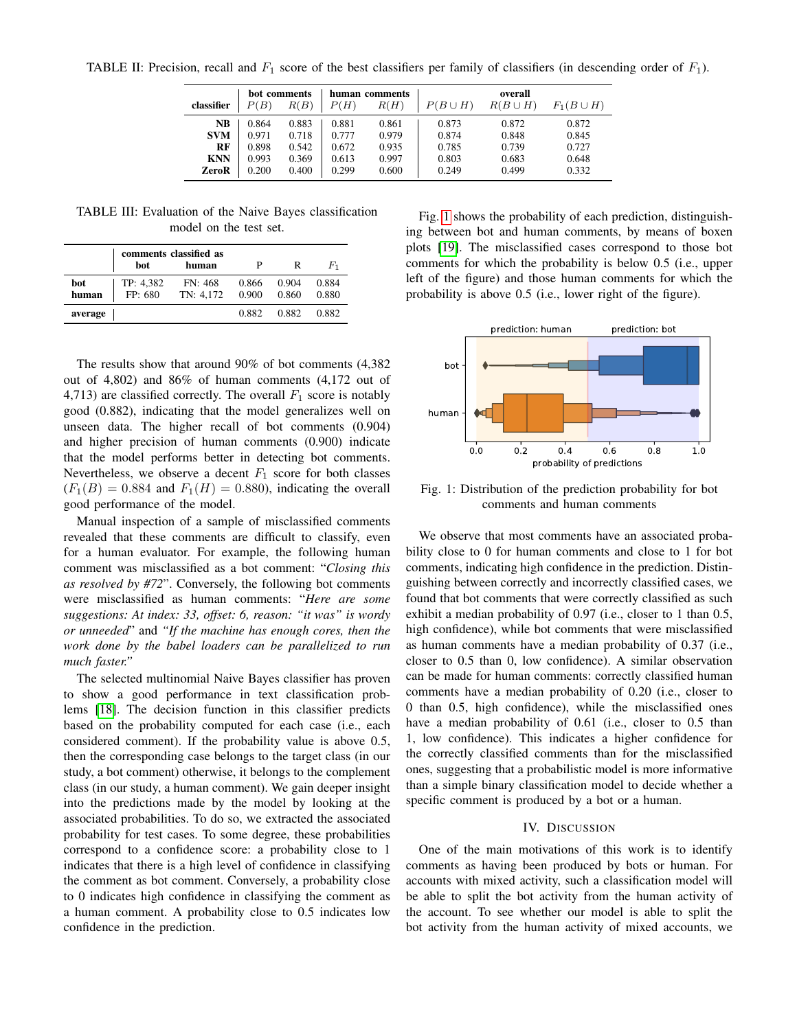<span id="page-2-0"></span>TABLE II: Precision, recall and  $F_1$  score of the best classifiers per family of classifiers (in descending order of  $F_1$ ).

|            | bot comments |       | human comments |       | overall      |              |                |
|------------|--------------|-------|----------------|-------|--------------|--------------|----------------|
| classifier | P(B)         | R(B)  | P(H)           | R(H)  | $P(B\cup H)$ | $R(B\cup H)$ | $F_1(B\cup H)$ |
| NB         | 0.864        | 0.883 | 0.881          | 0.861 | 0.873        | 0.872        | 0.872          |
| <b>SVM</b> | 0.971        | 0.718 | 0.777          | 0.979 | 0.874        | 0.848        | 0.845          |
| RF         | 0.898        | 0.542 | 0.672          | 0.935 | 0.785        | 0.739        | 0.727          |
| <b>KNN</b> | 0.993        | 0.369 | 0.613          | 0.997 | 0.803        | 0.683        | 0.648          |
| ZeroR      | 0.200        | 0.400 | 0.299          | 0.600 | 0.249        | 0.499        | 0.332          |

<span id="page-2-1"></span>TABLE III: Evaluation of the Naive Bayes classification model on the test set.

|              | comments classified as |                      |                |                |                |
|--------------|------------------------|----------------------|----------------|----------------|----------------|
|              | bot                    | human                |                | R              | $F_1$          |
| bot<br>human | TP: 4.382<br>FP: 680   | FN: 468<br>TN: 4.172 | 0.866<br>0.900 | 0.904<br>0.860 | 0.884<br>0.880 |
| average      |                        |                      | 0.882          | 0.882          | 0.882          |

The results show that around 90% of bot comments (4,382 out of 4,802) and 86% of human comments (4,172 out of 4,713) are classified correctly. The overall  $F_1$  score is notably good (0.882), indicating that the model generalizes well on unseen data. The higher recall of bot comments (0.904) and higher precision of human comments (0.900) indicate that the model performs better in detecting bot comments. Nevertheless, we observe a decent  $F_1$  score for both classes  $(F_1(B) = 0.884$  and  $F_1(H) = 0.880$ , indicating the overall good performance of the model.

Manual inspection of a sample of misclassified comments revealed that these comments are difficult to classify, even for a human evaluator. For example, the following human comment was misclassified as a bot comment: "*Closing this as resolved by #72*". Conversely, the following bot comments were misclassified as human comments: "*Here are some suggestions: At index: 33, offset: 6, reason: "it was" is wordy or unneeded*" and *"If the machine has enough cores, then the work done by the babel loaders can be parallelized to run much faster."*

The selected multinomial Naive Bayes classifier has proven to show a good performance in text classification problems [\[18\]](#page-4-17). The decision function in this classifier predicts based on the probability computed for each case (i.e., each considered comment). If the probability value is above 0.5, then the corresponding case belongs to the target class (in our study, a bot comment) otherwise, it belongs to the complement class (in our study, a human comment). We gain deeper insight into the predictions made by the model by looking at the associated probabilities. To do so, we extracted the associated probability for test cases. To some degree, these probabilities correspond to a confidence score: a probability close to 1 indicates that there is a high level of confidence in classifying the comment as bot comment. Conversely, a probability close to 0 indicates high confidence in classifying the comment as a human comment. A probability close to 0.5 indicates low confidence in the prediction.

Fig. [1](#page-2-2) shows the probability of each prediction, distinguishing between bot and human comments, by means of boxen plots [\[19\]](#page-4-18). The misclassified cases correspond to those bot comments for which the probability is below 0.5 (i.e., upper left of the figure) and those human comments for which the probability is above 0.5 (i.e., lower right of the figure).

<span id="page-2-2"></span>

Fig. 1: Distribution of the prediction probability for bot comments and human comments

We observe that most comments have an associated probability close to 0 for human comments and close to 1 for bot comments, indicating high confidence in the prediction. Distinguishing between correctly and incorrectly classified cases, we found that bot comments that were correctly classified as such exhibit a median probability of 0.97 (i.e., closer to 1 than 0.5, high confidence), while bot comments that were misclassified as human comments have a median probability of 0.37 (i.e., closer to 0.5 than 0, low confidence). A similar observation can be made for human comments: correctly classified human comments have a median probability of 0.20 (i.e., closer to 0 than 0.5, high confidence), while the misclassified ones have a median probability of 0.61 (i.e., closer to 0.5 than 1, low confidence). This indicates a higher confidence for the correctly classified comments than for the misclassified ones, suggesting that a probabilistic model is more informative than a simple binary classification model to decide whether a specific comment is produced by a bot or a human.

## IV. DISCUSSION

One of the main motivations of this work is to identify comments as having been produced by bots or human. For accounts with mixed activity, such a classification model will be able to split the bot activity from the human activity of the account. To see whether our model is able to split the bot activity from the human activity of mixed accounts, we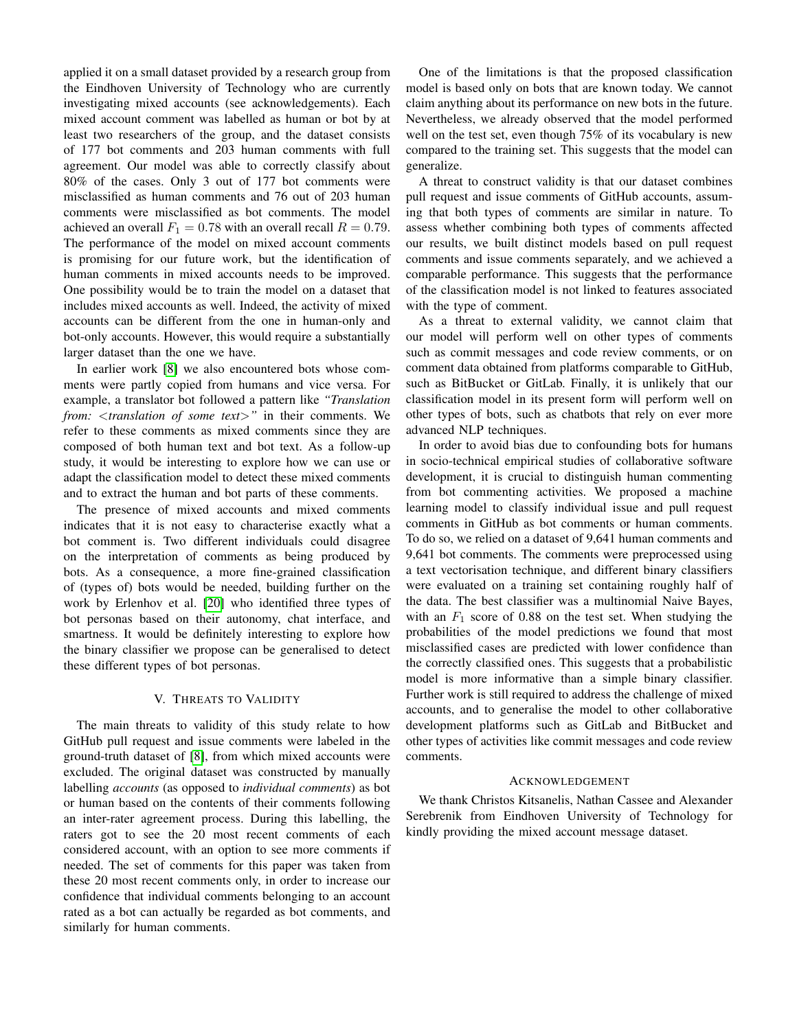applied it on a small dataset provided by a research group from the Eindhoven University of Technology who are currently investigating mixed accounts (see acknowledgements). Each mixed account comment was labelled as human or bot by at least two researchers of the group, and the dataset consists of 177 bot comments and 203 human comments with full agreement. Our model was able to correctly classify about 80% of the cases. Only 3 out of 177 bot comments were misclassified as human comments and 76 out of 203 human comments were misclassified as bot comments. The model achieved an overall  $F_1 = 0.78$  with an overall recall  $R = 0.79$ . The performance of the model on mixed account comments is promising for our future work, but the identification of human comments in mixed accounts needs to be improved. One possibility would be to train the model on a dataset that includes mixed accounts as well. Indeed, the activity of mixed accounts can be different from the one in human-only and bot-only accounts. However, this would require a substantially larger dataset than the one we have.

In earlier work [\[8\]](#page-4-7) we also encountered bots whose comments were partly copied from humans and vice versa. For example, a translator bot followed a pattern like *"Translation from:* <*translation of some text*>*"* in their comments. We refer to these comments as mixed comments since they are composed of both human text and bot text. As a follow-up study, it would be interesting to explore how we can use or adapt the classification model to detect these mixed comments and to extract the human and bot parts of these comments.

The presence of mixed accounts and mixed comments indicates that it is not easy to characterise exactly what a bot comment is. Two different individuals could disagree on the interpretation of comments as being produced by bots. As a consequence, a more fine-grained classification of (types of) bots would be needed, building further on the work by Erlenhov et al. [\[20\]](#page-4-19) who identified three types of bot personas based on their autonomy, chat interface, and smartness. It would be definitely interesting to explore how the binary classifier we propose can be generalised to detect these different types of bot personas.

## V. THREATS TO VALIDITY

The main threats to validity of this study relate to how GitHub pull request and issue comments were labeled in the ground-truth dataset of [\[8\]](#page-4-7), from which mixed accounts were excluded. The original dataset was constructed by manually labelling *accounts* (as opposed to *individual comments*) as bot or human based on the contents of their comments following an inter-rater agreement process. During this labelling, the raters got to see the 20 most recent comments of each considered account, with an option to see more comments if needed. The set of comments for this paper was taken from these 20 most recent comments only, in order to increase our confidence that individual comments belonging to an account rated as a bot can actually be regarded as bot comments, and similarly for human comments.

One of the limitations is that the proposed classification model is based only on bots that are known today. We cannot claim anything about its performance on new bots in the future. Nevertheless, we already observed that the model performed well on the test set, even though 75% of its vocabulary is new compared to the training set. This suggests that the model can generalize.

A threat to construct validity is that our dataset combines pull request and issue comments of GitHub accounts, assuming that both types of comments are similar in nature. To assess whether combining both types of comments affected our results, we built distinct models based on pull request comments and issue comments separately, and we achieved a comparable performance. This suggests that the performance of the classification model is not linked to features associated with the type of comment.

As a threat to external validity, we cannot claim that our model will perform well on other types of comments such as commit messages and code review comments, or on comment data obtained from platforms comparable to GitHub, such as BitBucket or GitLab. Finally, it is unlikely that our classification model in its present form will perform well on other types of bots, such as chatbots that rely on ever more advanced NLP techniques.

In order to avoid bias due to confounding bots for humans in socio-technical empirical studies of collaborative software development, it is crucial to distinguish human commenting from bot commenting activities. We proposed a machine learning model to classify individual issue and pull request comments in GitHub as bot comments or human comments. To do so, we relied on a dataset of 9,641 human comments and 9,641 bot comments. The comments were preprocessed using a text vectorisation technique, and different binary classifiers were evaluated on a training set containing roughly half of the data. The best classifier was a multinomial Naive Bayes, with an  $F_1$  score of 0.88 on the test set. When studying the probabilities of the model predictions we found that most misclassified cases are predicted with lower confidence than the correctly classified ones. This suggests that a probabilistic model is more informative than a simple binary classifier. Further work is still required to address the challenge of mixed accounts, and to generalise the model to other collaborative development platforms such as GitLab and BitBucket and other types of activities like commit messages and code review comments.

#### ACKNOWLEDGEMENT

We thank Christos Kitsanelis, Nathan Cassee and Alexander Serebrenik from Eindhoven University of Technology for kindly providing the mixed account message dataset.